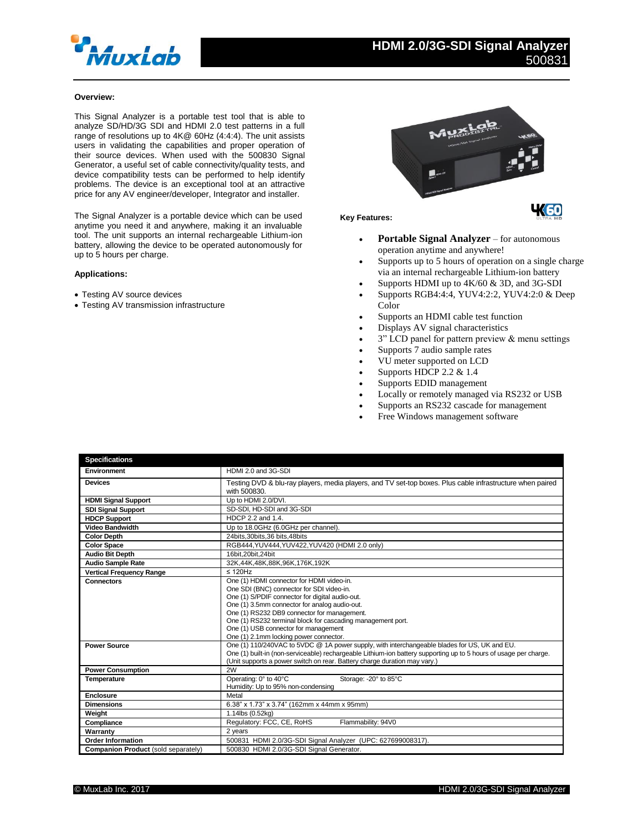

# **Overview:**

This Signal Analyzer is a portable test tool that is able to analyze SD/HD/3G SDI and HDMI 2.0 test patterns in a full range of resolutions up to 4K@ 60Hz (4:4:4). The unit assists users in validating the capabilities and proper operation of their source devices. When used with the 500830 Signal Generator, a useful set of cable connectivity/quality tests, and device compatibility tests can be performed to help identify problems. The device is an exceptional tool at an attractive price for any AV engineer/developer, Integrator and installer.

The Signal Analyzer is a portable device which can be used anytime you need it and anywhere, making it an invaluable tool. The unit supports an internal rechargeable Lithium-ion battery, allowing the device to be operated autonomously for up to 5 hours per charge.

## **Applications:**

- Testing AV source devices
- Testing AV transmission infrastructure



### **Key Features:**

- **Portable Signal Analyzer** for autonomous operation anytime and anywhere!
- Supports up to 5 hours of operation on a single charge via an internal rechargeable Lithium-ion battery
- Supports HDMI up to 4K/60 & 3D, and 3G-SDI
- Supports RGB4:4:4, YUV4:2:2, YUV4:2:0 & Deep Color
- Supports an HDMI cable test function
- Displays AV signal characteristics
- 3" LCD panel for pattern preview & menu settings
- Supports 7 audio sample rates
- VU meter supported on LCD
- Supports HDCP 2.2 & 1.4
- Supports EDID management
- Locally or remotely managed via RS232 or USB
- Supports an RS232 cascade for management
- Free Windows management software

| <b>Specifications</b>               |                                                                                                                                                                                                                                                                                                                                                                                            |
|-------------------------------------|--------------------------------------------------------------------------------------------------------------------------------------------------------------------------------------------------------------------------------------------------------------------------------------------------------------------------------------------------------------------------------------------|
| Environment                         | HDMI 2.0 and 3G-SDI                                                                                                                                                                                                                                                                                                                                                                        |
| <b>Devices</b>                      | Testing DVD & blu-ray players, media players, and TV set-top boxes. Plus cable infrastructure when paired<br>with 500830.                                                                                                                                                                                                                                                                  |
| <b>HDMI Signal Support</b>          | Up to HDMI 2.0/DVI.                                                                                                                                                                                                                                                                                                                                                                        |
| <b>SDI Signal Support</b>           | SD-SDI, HD-SDI and 3G-SDI                                                                                                                                                                                                                                                                                                                                                                  |
| <b>HDCP Support</b>                 | HDCP 2.2 and 1.4.                                                                                                                                                                                                                                                                                                                                                                          |
| <b>Video Bandwidth</b>              | Up to 18.0GHz (6.0GHz per channel).                                                                                                                                                                                                                                                                                                                                                        |
| <b>Color Depth</b>                  | 24bits, 30bits, 36 bits, 48bits                                                                                                                                                                                                                                                                                                                                                            |
| <b>Color Space</b>                  | RGB444, YUV444, YUV422, YUV420 (HDMI 2.0 only)                                                                                                                                                                                                                                                                                                                                             |
| <b>Audio Bit Depth</b>              | 16bit.20bit.24bit                                                                                                                                                                                                                                                                                                                                                                          |
| <b>Audio Sample Rate</b>            | 32K,44K,48K,88K,96K,176K,192K                                                                                                                                                                                                                                                                                                                                                              |
| <b>Vertical Frequency Range</b>     | $\leq$ 120Hz                                                                                                                                                                                                                                                                                                                                                                               |
| <b>Connectors</b>                   | One (1) HDMI connector for HDMI video-in.<br>One SDI (BNC) connector for SDI video-in.<br>One (1) S/PDIF connector for digital audio-out.<br>One (1) 3.5mm connector for analog audio-out.<br>One (1) RS232 DB9 connector for management.<br>One (1) RS232 terminal block for cascading management port.<br>One (1) USB connector for management<br>One (1) 2.1mm locking power connector. |
| <b>Power Source</b>                 | One (1) 110/240VAC to 5VDC @ 1A power supply, with interchangeable blades for US, UK and EU.<br>One (1) built-in (non-serviceable) rechargeable Lithium-ion battery supporting up to 5 hours of usage per charge.<br>(Unit supports a power switch on rear. Battery charge duration may vary.)                                                                                             |
| <b>Power Consumption</b>            | 2W                                                                                                                                                                                                                                                                                                                                                                                         |
| <b>Temperature</b>                  | Operating: 0° to 40°C<br>Storage: - 20° to 85°C<br>Humidity: Up to 95% non-condensing                                                                                                                                                                                                                                                                                                      |
| <b>Enclosure</b>                    | Metal                                                                                                                                                                                                                                                                                                                                                                                      |
| <b>Dimensions</b>                   | 6.38" x 1.73" x 3.74" (162mm x 44mm x 95mm)                                                                                                                                                                                                                                                                                                                                                |
| Weight                              | 1.14lbs (0.52kg)                                                                                                                                                                                                                                                                                                                                                                           |
| Compliance                          | Regulatory: FCC, CE, RoHS<br>Flammability: 94V0                                                                                                                                                                                                                                                                                                                                            |
| Warranty                            | 2 years                                                                                                                                                                                                                                                                                                                                                                                    |
| <b>Order Information</b>            | 500831 HDMI 2.0/3G-SDI Signal Analyzer (UPC: 627699008317).                                                                                                                                                                                                                                                                                                                                |
| Companion Product (sold separately) | 500830 HDMI 2.0/3G-SDI Signal Generator.                                                                                                                                                                                                                                                                                                                                                   |